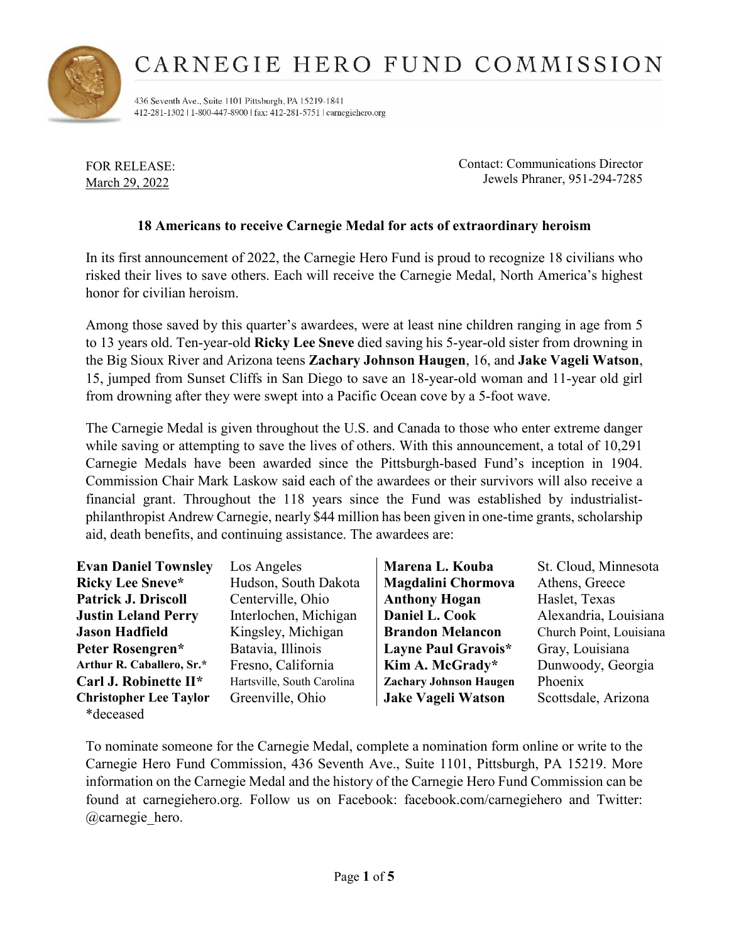

436 Seventh Ave., Suite 1101 Pittsburgh, PA 15219-1841 412-281-1302 | 1-800-447-8900 | fax: 412-281-5751 | carnegiehero.org

FOR RELEASE: March 29, 2022

Contact: Communications Director Jewels Phraner, 951-294-7285

### **18 Americans to receive Carnegie Medal for acts of extraordinary heroism**

In its first announcement of 2022, the Carnegie Hero Fund is proud to recognize 18 civilians who risked their lives to save others. Each will receive the Carnegie Medal, North America's highest honor for civilian heroism.

Among those saved by this quarter's awardees, were at least nine children ranging in age from 5 to 13 years old. Ten-year-old **Ricky Lee Sneve** died saving his 5-year-old sister from drowning in the Big Sioux River and Arizona teens **Zachary Johnson Haugen**, 16, and **Jake Vageli Watson**, 15, jumped from Sunset Cliffs in San Diego to save an 18-year-old woman and 11-year old girl from drowning after they were swept into a Pacific Ocean cove by a 5-foot wave.

The Carnegie Medal is given throughout the U.S. and Canada to those who enter extreme danger while saving or attempting to save the lives of others. With this announcement, a total of 10,291 Carnegie Medals have been awarded since the Pittsburgh-based Fund's inception in 1904. Commission Chair Mark Laskow said each of the awardees or their survivors will also receive a financial grant. Throughout the 118 years since the Fund was established by industrialistphilanthropist Andrew Carnegie, nearly \$44 million has been given in one-time grants, scholarship aid, death benefits, and continuing assistance. The awardees are:

| <b>Evan Daniel Townsley</b>   | Los Angeles                | Marena L. Kouba               | St. Cloud, Minnesota    |
|-------------------------------|----------------------------|-------------------------------|-------------------------|
| <b>Ricky Lee Sneve*</b>       | Hudson, South Dakota       | <b>Magdalini Chormova</b>     | Athens, Greece          |
| <b>Patrick J. Driscoll</b>    | Centerville, Ohio          | <b>Anthony Hogan</b>          | Haslet, Texas           |
| <b>Justin Leland Perry</b>    | Interlochen, Michigan      | Daniel L. Cook                | Alexandria, Louisiana   |
| <b>Jason Hadfield</b>         | Kingsley, Michigan         | <b>Brandon Melancon</b>       | Church Point, Louisiana |
| Peter Rosengren*              | Batavia, Illinois          | Layne Paul Gravois*           | Gray, Louisiana         |
| Arthur R. Caballero, Sr.*     | Fresno, California         | Kim A. McGrady*               | Dunwoody, Georgia       |
| Carl J. Robinette II*         | Hartsville, South Carolina | <b>Zachary Johnson Haugen</b> | Phoenix                 |
| <b>Christopher Lee Taylor</b> | Greenville, Ohio           | <b>Jake Vageli Watson</b>     | Scottsdale, Arizona     |
| *deceased                     |                            |                               |                         |

To nominate someone for the Carnegie Medal, complete a nomination form online or write to the Carnegie Hero Fund Commission, 436 Seventh Ave., Suite 1101, Pittsburgh, PA 15219. More information on the Carnegie Medal and the history of the Carnegie Hero Fund Commission can be found at carnegiehero.org. Follow us on Facebook: facebook.com/carnegiehero and Twitter: @carnegie\_hero.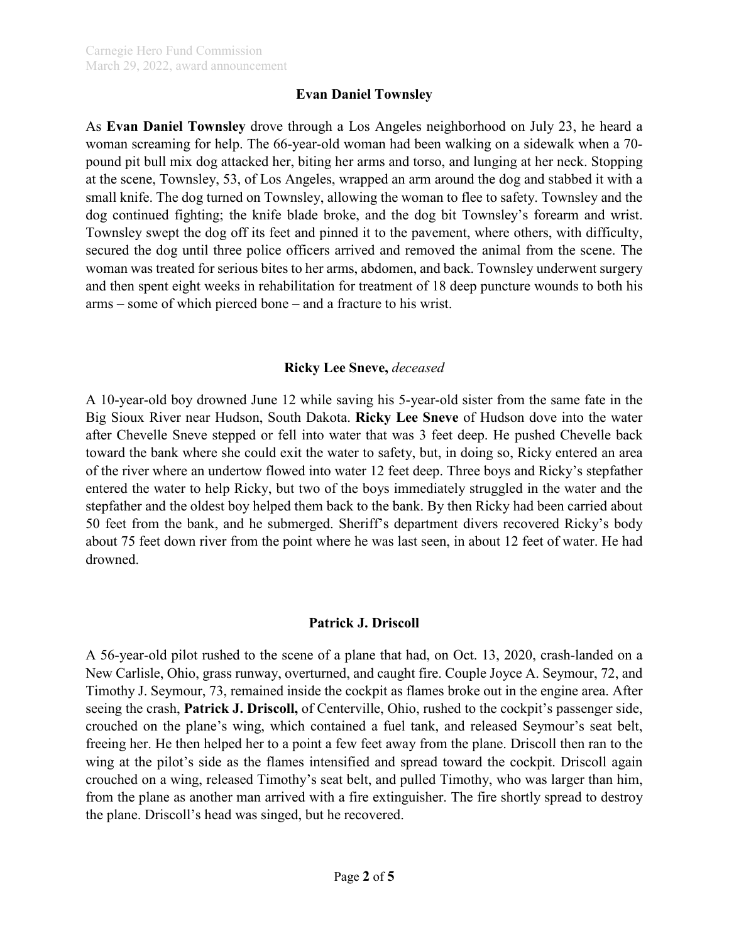### **Evan Daniel Townsley**

As **Evan Daniel Townsley** drove through a Los Angeles neighborhood on July 23, he heard a woman screaming for help. The 66-year-old woman had been walking on a sidewalk when a 70 pound pit bull mix dog attacked her, biting her arms and torso, and lunging at her neck. Stopping at the scene, Townsley, 53, of Los Angeles, wrapped an arm around the dog and stabbed it with a small knife. The dog turned on Townsley, allowing the woman to flee to safety. Townsley and the dog continued fighting; the knife blade broke, and the dog bit Townsley's forearm and wrist. Townsley swept the dog off its feet and pinned it to the pavement, where others, with difficulty, secured the dog until three police officers arrived and removed the animal from the scene. The woman was treated for serious bites to her arms, abdomen, and back. Townsley underwent surgery and then spent eight weeks in rehabilitation for treatment of 18 deep puncture wounds to both his arms – some of which pierced bone – and a fracture to his wrist.

### **Ricky Lee Sneve,** *deceased*

A 10-year-old boy drowned June 12 while saving his 5-year-old sister from the same fate in the Big Sioux River near Hudson, South Dakota. **Ricky Lee Sneve** of Hudson dove into the water after Chevelle Sneve stepped or fell into water that was 3 feet deep. He pushed Chevelle back toward the bank where she could exit the water to safety, but, in doing so, Ricky entered an area of the river where an undertow flowed into water 12 feet deep. Three boys and Ricky's stepfather entered the water to help Ricky, but two of the boys immediately struggled in the water and the stepfather and the oldest boy helped them back to the bank. By then Ricky had been carried about 50 feet from the bank, and he submerged. Sheriff's department divers recovered Ricky's body about 75 feet down river from the point where he was last seen, in about 12 feet of water. He had drowned.

### **Patrick J. Driscoll**

A 56-year-old pilot rushed to the scene of a plane that had, on Oct. 13, 2020, crash-landed on a New Carlisle, Ohio, grass runway, overturned, and caught fire. Couple Joyce A. Seymour, 72, and Timothy J. Seymour, 73, remained inside the cockpit as flames broke out in the engine area. After seeing the crash, **Patrick J. Driscoll,** of Centerville, Ohio, rushed to the cockpit's passenger side, crouched on the plane's wing, which contained a fuel tank, and released Seymour's seat belt, freeing her. He then helped her to a point a few feet away from the plane. Driscoll then ran to the wing at the pilot's side as the flames intensified and spread toward the cockpit. Driscoll again crouched on a wing, released Timothy's seat belt, and pulled Timothy, who was larger than him, from the plane as another man arrived with a fire extinguisher. The fire shortly spread to destroy the plane. Driscoll's head was singed, but he recovered.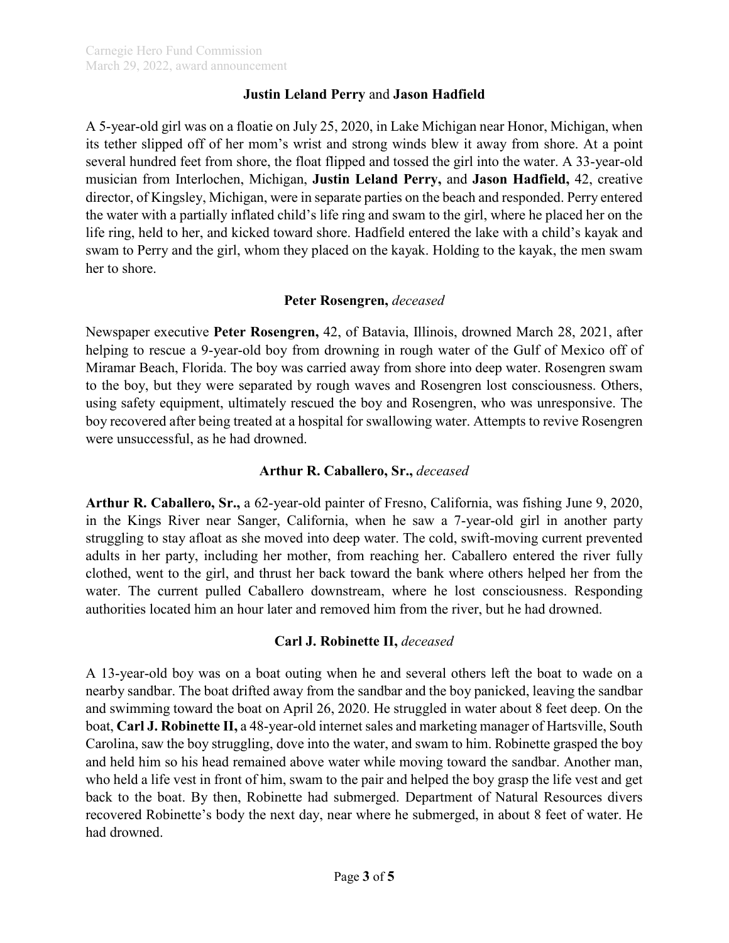### **Justin Leland Perry** and **Jason Hadfield**

A 5-year-old girl was on a floatie on July 25, 2020, in Lake Michigan near Honor, Michigan, when its tether slipped off of her mom's wrist and strong winds blew it away from shore. At a point several hundred feet from shore, the float flipped and tossed the girl into the water. A 33-year-old musician from Interlochen, Michigan, **Justin Leland Perry,** and **Jason Hadfield,** 42, creative director, of Kingsley, Michigan, were in separate parties on the beach and responded. Perry entered the water with a partially inflated child's life ring and swam to the girl, where he placed her on the life ring, held to her, and kicked toward shore. Hadfield entered the lake with a child's kayak and swam to Perry and the girl, whom they placed on the kayak. Holding to the kayak, the men swam her to shore.

### **Peter Rosengren,** *deceased*

Newspaper executive **Peter Rosengren,** 42, of Batavia, Illinois, drowned March 28, 2021, after helping to rescue a 9-year-old boy from drowning in rough water of the Gulf of Mexico off of Miramar Beach, Florida. The boy was carried away from shore into deep water. Rosengren swam to the boy, but they were separated by rough waves and Rosengren lost consciousness. Others, using safety equipment, ultimately rescued the boy and Rosengren, who was unresponsive. The boy recovered after being treated at a hospital for swallowing water. Attempts to revive Rosengren were unsuccessful, as he had drowned.

## **Arthur R. Caballero, Sr.,** *deceased*

**Arthur R. Caballero, Sr.,** a 62-year-old painter of Fresno, California, was fishing June 9, 2020, in the Kings River near Sanger, California, when he saw a 7-year-old girl in another party struggling to stay afloat as she moved into deep water. The cold, swift-moving current prevented adults in her party, including her mother, from reaching her. Caballero entered the river fully clothed, went to the girl, and thrust her back toward the bank where others helped her from the water. The current pulled Caballero downstream, where he lost consciousness. Responding authorities located him an hour later and removed him from the river, but he had drowned.

# **Carl J. Robinette II,** *deceased*

A 13-year-old boy was on a boat outing when he and several others left the boat to wade on a nearby sandbar. The boat drifted away from the sandbar and the boy panicked, leaving the sandbar and swimming toward the boat on April 26, 2020. He struggled in water about 8 feet deep. On the boat, **Carl J. Robinette II,** a 48-year-old internet sales and marketing manager of Hartsville, South Carolina, saw the boy struggling, dove into the water, and swam to him. Robinette grasped the boy and held him so his head remained above water while moving toward the sandbar. Another man, who held a life vest in front of him, swam to the pair and helped the boy grasp the life vest and get back to the boat. By then, Robinette had submerged. Department of Natural Resources divers recovered Robinette's body the next day, near where he submerged, in about 8 feet of water. He had drowned.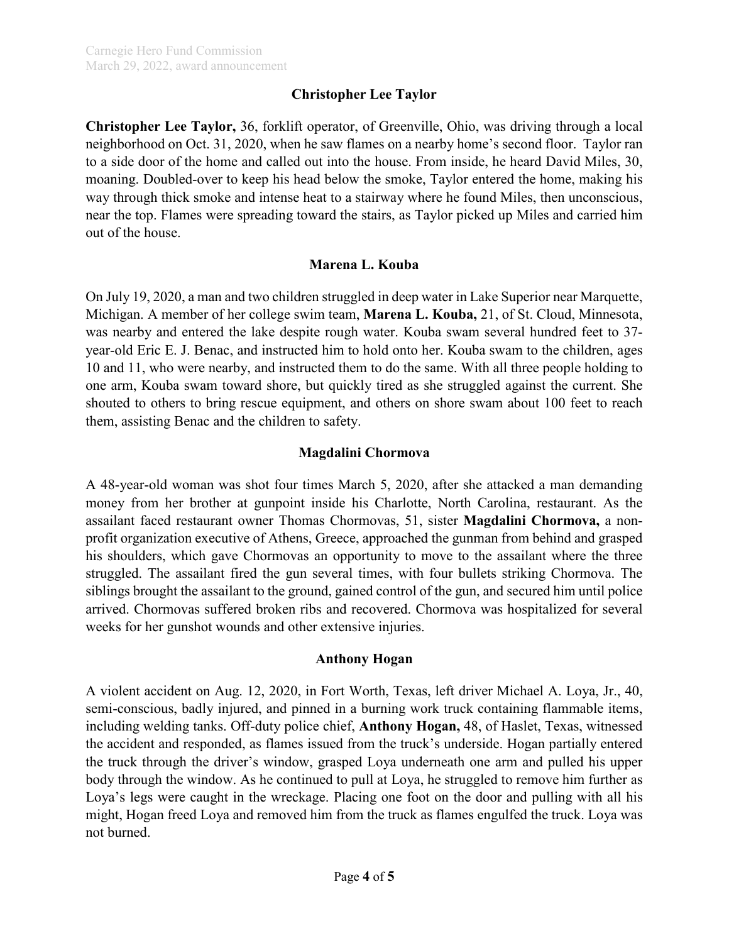## **Christopher Lee Taylor**

**Christopher Lee Taylor,** 36, forklift operator, of Greenville, Ohio, was driving through a local neighborhood on Oct. 31, 2020, when he saw flames on a nearby home's second floor. Taylor ran to a side door of the home and called out into the house. From inside, he heard David Miles, 30, moaning. Doubled-over to keep his head below the smoke, Taylor entered the home, making his way through thick smoke and intense heat to a stairway where he found Miles, then unconscious, near the top. Flames were spreading toward the stairs, as Taylor picked up Miles and carried him out of the house.

### **Marena L. Kouba**

On July 19, 2020, a man and two children struggled in deep water in Lake Superior near Marquette, Michigan. A member of her college swim team, **Marena L. Kouba,** 21, of St. Cloud, Minnesota, was nearby and entered the lake despite rough water. Kouba swam several hundred feet to 37 year-old Eric E. J. Benac, and instructed him to hold onto her. Kouba swam to the children, ages 10 and 11, who were nearby, and instructed them to do the same. With all three people holding to one arm, Kouba swam toward shore, but quickly tired as she struggled against the current. She shouted to others to bring rescue equipment, and others on shore swam about 100 feet to reach them, assisting Benac and the children to safety.

### **Magdalini Chormova**

A 48-year-old woman was shot four times March 5, 2020, after she attacked a man demanding money from her brother at gunpoint inside his Charlotte, North Carolina, restaurant. As the assailant faced restaurant owner Thomas Chormovas, 51, sister **Magdalini Chormova,** a nonprofit organization executive of Athens, Greece, approached the gunman from behind and grasped his shoulders, which gave Chormovas an opportunity to move to the assailant where the three struggled. The assailant fired the gun several times, with four bullets striking Chormova. The siblings brought the assailant to the ground, gained control of the gun, and secured him until police arrived. Chormovas suffered broken ribs and recovered. Chormova was hospitalized for several weeks for her gunshot wounds and other extensive injuries.

#### **Anthony Hogan**

A violent accident on Aug. 12, 2020, in Fort Worth, Texas, left driver Michael A. Loya, Jr., 40, semi-conscious, badly injured, and pinned in a burning work truck containing flammable items, including welding tanks. Off-duty police chief, **Anthony Hogan,** 48, of Haslet, Texas, witnessed the accident and responded, as flames issued from the truck's underside. Hogan partially entered the truck through the driver's window, grasped Loya underneath one arm and pulled his upper body through the window. As he continued to pull at Loya, he struggled to remove him further as Loya's legs were caught in the wreckage. Placing one foot on the door and pulling with all his might, Hogan freed Loya and removed him from the truck as flames engulfed the truck. Loya was not burned.